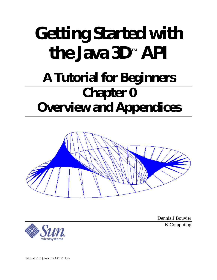# **Getting Started with the Java 3D**™  **API A Tutorial for Beginners Chapter 0 Overview and Appendices**



Dennis J Bouvier K Computing



tutorial v1.5 (Java 3D API v1.1.2)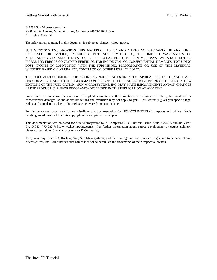© 1999 Sun Microsystems, Inc. 2550 Garcia Avenue, Mountain View, California 94043-1100 U.S.A All Rights Reserved.

The information contained in this document is subject to change without notice.

SUN MICROSYSTEMS PROVIDES THIS MATERIAL "AS IS" AND MAKES NO WARRANTY OF ANY KIND, EXPRESSED OR IMPLIED, INCLUDING, BUT NOT LIMITED TO, THE IMPLIED WARRANTIES OF MERCHANTABILITY AND FITNESS FOR A PARTICULAR PURPOSE. SUN MICROSYSTEMS SHALL NOT BE LIABLE FOR ERRORS CONTAINED HEREIN OR FOR INCIDENTAL OR CONSEQUENTIAL DAMAGES (INCLUDING LOST PROFITS IN CONNECTION WITH THE FURNISHING, PERFORMANCE OR USE OF THIS MATERIAL, WHETHER BASED ON WARRANTY, CONTRACT, OR OTHER LEGAL THEORY).

THIS DOCUMENT COULD INCLUDE TECHNICAL INACCURACIES OR TYPOGRAPHICAL ERRORS. CHANGES ARE PERIODICALLY MADE TO THE INFORMATION HEREIN; THESE CHANGES WILL BE INCORPORATED IN NEW EDITIONS OF THE PUBLICATION. SUN MICROSYSTEMS, INC. MAY MAKE IMPROVEMENTS AND/OR CHANGES IN THE PRODUCT(S) AND/OR PROGRAM(S) DESCRIBED IN THIS PUBLICATION AT ANY TIME.

Some states do not allow the exclusion of implied warranties or the limitations or exclusion of liability for incidental or consequential damages, so the above limitations and exclusion may not apply to you. This warranty gives you specific legal rights, and you also may have other rights which vary from state to state.

Permission to use, copy, modify, and distribute this documentation for NON-COMMERCIAL purposes and without fee is hereby granted provided that this copyright notice appears in all copies.

This documentation was prepared for Sun Microsystems by K Computing (530 Showers Drive, Suite 7-225, Mountain View, CA 94040, 770-982-7881, www.kcomputing.com). For further information about course development or course delivery, please contact either Sun Microsystems or K Computing.

Java, JavaScript, Java 3D, HotJava, Sun, Sun Microsystems, and the Sun logo are trademarks or registered trademarks of Sun Microsystems, Inc. All other product names mentioned herein are the trademarks of their respective owners.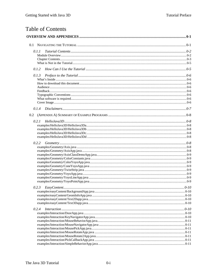# **Table of Contents**

| 0.1.1 |  |
|-------|--|
|       |  |
|       |  |
|       |  |
| 0.1.2 |  |
| 0.1.3 |  |
|       |  |
|       |  |
|       |  |
|       |  |
|       |  |
|       |  |
|       |  |
| 0.1.4 |  |
| 0.2   |  |
| 0.2.1 |  |
|       |  |
|       |  |
|       |  |
|       |  |
| 0.2.2 |  |
|       |  |
|       |  |
|       |  |
|       |  |
|       |  |
|       |  |
|       |  |
|       |  |
|       |  |
| 0.2.3 |  |
|       |  |
|       |  |
|       |  |
|       |  |
| 0.2.4 |  |
|       |  |
|       |  |
|       |  |
|       |  |
|       |  |
|       |  |
|       |  |
|       |  |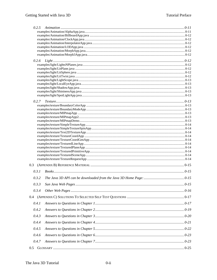| 0.2.7 |  |
|-------|--|
|       |  |
|       |  |
|       |  |
|       |  |
|       |  |
|       |  |
|       |  |
|       |  |
|       |  |
|       |  |
|       |  |
|       |  |
|       |  |
| 0.3   |  |
| 0.3.1 |  |
| 0.3.2 |  |
|       |  |
| 0.3.3 |  |
| 0.3.4 |  |
|       |  |
| 0.4.1 |  |
| 0.4.2 |  |
| 0.4.3 |  |
| 0.4.4 |  |
| 0.4.5 |  |
| 0.4.6 |  |
| 0.4.7 |  |
|       |  |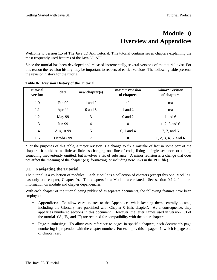# **0 ModuleOverview and Appendices**

Welcome to version 1.5 of The Java 3D API Tutorial. This tutorial contains seven chapters explaining the most frequently used features of the Java 3D API.

Since the tutorial has been developed and released incrementally, several versions of the tutorial exist. For this reason the revision history may be important to readers of earlier versions. The following table presents the revision history for the tutorial.

| tutorial<br>version | date          | new chapter(s) | major* revision<br>of chapters | minor* revision<br>of chapters |
|---------------------|---------------|----------------|--------------------------------|--------------------------------|
| 1.0                 | Feb 99        | 1 and $2$      | n/a                            | n/a                            |
| 1.1                 | Apr 99        | $0$ and $6$    | 1 and 2                        | n/a                            |
| 1.2                 | May 99        | 3              | $0$ and $2$                    | 1 and $6$                      |
| 1.3                 | <b>Jun 99</b> | 4              | $\boldsymbol{0}$               | $1, 2, 3$ and 6                |
| 1.4                 | August 99     | 5              | $0, 1$ and 4                   | 2, 3, and 6                    |
| 1.5                 | October 99    | 7              | $\boldsymbol{0}$               | $1, 2, 3, 4, 5,$ and 6         |

**Table 0-1 Revision History of the Tutorial.**

\*For the purposes of this table, a major revision is a change to fix a mistake of fact in some part of the chapter. It could be as little as little as changing one line of code, fixing a single sentence, or adding something inadvertently omitted, but involves a fix of substance. A minor revision is a change that does not affect the meaning of the chapter (e.g. formatting, or including new links in the PDF file).

#### **0.1 Navigating the Tutorial**

The tutorial is a collection of modules. Each Module is a collection of chapters (except this one, Module 0 has only one chapter, Chapter 0). The chapters in a Module are related. See section 0.1.2 for more information on module and chapter dependencies.

With each chapter of the tutorial being published as separate documents, the following features have been employed:

- **Appendices:** To allow easy updates to the Appendices while keeping them centrally located, including the Glossary, are published with Chapter 0 (this chapter). As a consequence, they appear as numbered sections in this document. However, the letter names used in version 1.0 of the tutorial ('A', 'B', and 'C') are retained for compatibility with the older chapters.
- **Page numbering:** To allow easy reference to pages in specific chapters, each document's page numbering is prepended with the chapter number. For example, this is page 0-1, which is page one of chapter zero.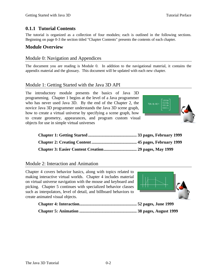## **0.1.1 Tutorial Contents**

The tutorial is organized as a collection of four modules; each is outlined in the following sections. Beginning on page 0-3 the section titled "Chapter Contents" presents the contents of each chapter.

#### **Module Overview**

#### Module 0: Navigation and Appendices

The document you are reading is Module 0. In addition to the navigational material, it contains the appendix material and the glossary. This document will be updated with each new chapter.

#### Module 1: Getting Started with the Java 3D API

The introductory module presents the basics of Java 3D programming. Chapter 1 begins at the level of a Java programmer who has never used Java 3D. By the end of the Chapter 2, the novice Java 3D programmer understands the Java 3D scene graph, how to create a virtual universe by specifying a scene graph, how to create geometry, appearances, and program custom visual objects for use in simple virtual universes



Module 2: Interaction and Animation

Chapter 4 covers behavior basics, along with topics related to making interactive virtual worlds. Chapter 4 includes material on virtual universe navigation with the mouse and keyboard and picking. Chapter 5 continues with specialized behavior classes such as interpolators, level of detail, and billboard behaviors to create animated visual objects.

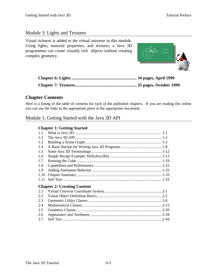#### Module 3: Lights and Textures

Visual richness is added to the virtual universe in this module. Using lights, material properties, and textures, a Java 3D programmer can create visually rich objects without creating complex geometry.



#### **Chapter Contents**

Here is a listing of the table of contents for each of the published chapters. If you are reading this online you can use the links to the appropriate place in the appropriate document.

## Module 1: Getting Started with the Java 3D API

#### **Chapter 1: Getting Started**

| <b>Chapter 2: Creating Content</b> |  |
|------------------------------------|--|
|                                    |  |
|                                    |  |
|                                    |  |
|                                    |  |
|                                    |  |
|                                    |  |
|                                    |  |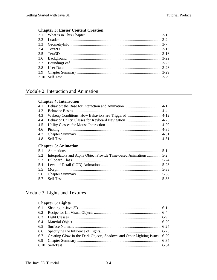## **Chapter 3: Easier Content Creation**

## Module 2: Interaction and Animation

#### **Chapter 4: Interaction**

| 4.1 |                             |  |
|-----|-----------------------------|--|
| 4.2 |                             |  |
| 4.3 |                             |  |
| 4.4 |                             |  |
| 4.5 |                             |  |
| 4.6 |                             |  |
| 4.7 |                             |  |
| 4.8 |                             |  |
|     | <b>Chapter 5: Animation</b> |  |
| 5.1 |                             |  |
| 5.2 |                             |  |
| 5.3 |                             |  |
| 5.4 |                             |  |
| 5.5 |                             |  |
| 5.6 |                             |  |
| 5.7 |                             |  |
|     |                             |  |

## Module 3: Lights and Textures

#### **Chapter 6: Lights**

| 6.29 Creating Glow-in-the-Dark Objects, Shadows and Other Lighting Issues . 6-29 |  |
|----------------------------------------------------------------------------------|--|
|                                                                                  |  |
|                                                                                  |  |
|                                                                                  |  |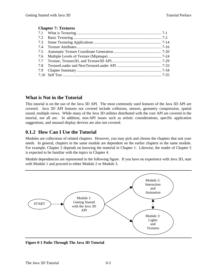#### **Chapter 7: Textures**

#### **What is Not in the Tutorial**

This tutorial is on the use of the Java 3D API. The most commonly used features of the Java 3D API are covered. Java 3D API features not covered include collisions, sensors, geometry compression, spatial sound, multiple views. While many of the Java 3D utilities distributed with the core API are covered in the tutorial, not all are. In addition, non-API issues such as artistic considerations, specific application suggestions, and unusual display devices are also not covered.

## **0.1.2 How Can I Use the Tutorial**

Modules are collections of related chapters. However, you may pick and choose the chapters that suit your needs. In general, chapters in the same module are dependent on the earlier chapters in the same module. For example, Chapter 2 depends on knowing the material in Chapter 1. Likewise, the reader of Chapter 5 is expected to be familiar with the topics in Chapter 4.

Module dependencies are represented in the following figure. If you have no experience with Java 3D, start with Module 1 and proceed to either Module 2 or Module 3.



**Figure 0-1 Paths Through The Java 3D Tutorial**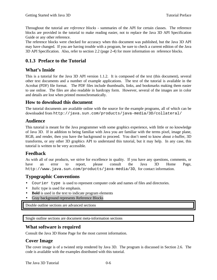Throughout the tutorial are *reference blocks* - summaries of the API for certain classes. The reference blocks are provided in the tutorial to make reading easier, not to replace the Java 3D API Specification Guide or any other reference.

The reference blocks were checked for accuracy when this document was published, but the Java 3D API may have changed. If you are having trouble with a program, be sure to check a current edition of the Java 3D API Specification. Also, refer to section 2.2 (page 2-4) for more information on reference blocks.

## **0.1.3 Preface to the Tutorial**

#### **What's Inside**

This is a tutorial for the Java 3D API version 1.1.2. It is composed of the text (this document), several other text documents and a number of example applications. The text of the tutorial is available in the Acrobat (PDF) file format. The PDF files include thumbnails, links, and bookmarks making them easier to use online. The files are also readable in hardcopy form. However, several of the images are in color and details are lost when printed monochromatically.

#### **How to download this document**

The tutorial documents are available online with the source for the example programs, all of which can be downloaded from http://java.sun.com/products/java-media/3D/collateral/

#### **Audience**

This tutorial is meant for the Java programmer with some graphics experience, with little or no knowledge of Java 3D. If in addition to being familiar with Java you are familiar with the terms pixel, image plane, RGB, and render, then you have the background to proceed. You don't need to know about z-buffer, 3D transforms, or any other 3D graphics API to understand this tutorial, but it may help. In any case, this tutorial is written to be very accessible.

#### **Feedback**

As with all of our products, we strive for excellence in quality. If you have any questions, comments, or have an error to report, please consult the Java 3D Home Page, http://www.java.sun.com/products/java-media/3D, for contact information.

## **Typographic Conventions**

- Courier type is used to represent computer code and names of files and directories.
- *Italic* type is used for emphasis.
- **Bold** is used in the text to indicate program elements
- Gray background represents Reference Blocks

Double outline sections are advanced sections

Single outline sections are document meta-information sections

#### **What software is required**

Consult the Java 3D Home Page for the most current information.

## **Cover Image**

The cover image is of a twisted strip rendered by Java 3D. The program is discussed in Section 2.6. The code is available with the examples distributed with this tutorial.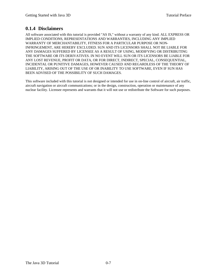## **0.1.4 Disclaimers**

All software associated with this tutorial is provided "AS IS," without a warranty of any kind. ALL EXPRESS OR IMPLIED CONDITIONS, REPRESENTATIONS AND WARRANTIES, INCLUDING ANY IMPLIED WARRANTY OF MERCHANTABILITY, FITNESS FOR A PARTICULAR PURPOSE OR NON-INFRINGEMENT, ARE HEREBY EXCLUDED. SUN AND ITS LICENSORS SHALL NOT BE LIABLE FOR ANY DAMAGES SUFFERED BY LICENSEE AS A RESULT OF USING, MODIFYING OR DISTRIBUTING THE SOFTWARE OR ITS DERIVATIVES. IN NO EVENT WILL SUN OR ITS LICENSORS BE LIABLE FOR ANY LOST REVENUE, PROFIT OR DATA, OR FOR DIRECT, INDIRECT, SPECIAL, CONSEQUENTIAL, INCIDENTAL OR PUNITIVE DAMAGES, HOWEVER CAUSED AND REGARDLESS OF THE THEORY OF LIABILITY, ARISING OUT OF THE USE OF OR INABILITY TO USE SOFTWARE, EVEN IF SUN HAS BEEN ADVISED OF THE POSSIBILITY OF SUCH DAMAGES.

This software included with this tutorial is not designed or intended for use in on-line control of aircraft, air traffic, aircraft navigation or aircraft communications; or in the design, construction, operation or maintenance of any nuclear facility. Licensee represents and warrants that it will not use or redistribute the Software for such purposes.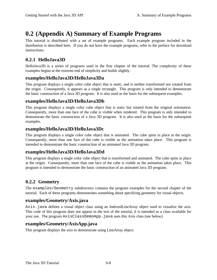# **0.2 (Appendix A) Summary of Example Programs**

This tutorial is distributed with a set of example programs. Each example program included in the distribution is described here. If you do not have the example programs, refer to the preface for download instructions.

## **0.2.1 HelloJava3D**

HelloJava3D is a series of programs used in the first chapter of the tutorial. The complexity of these examples begins at the extreme end of simplicity and builds slightly.

#### **examples/HelloJava3D/HelloJava3Da**

This program displays a single color cube object that is static, and is neither transformed nor rotated from the origin. Consequently, it appears as a single rectangle. This program is only intended to demonstrate the basic construction of a Java 3D program. It is also used as the basis for the subsequent examples.

## **examples/HelloJava3D/HelloJava3Db**

This program displays a single color cube object that is static but rotated from the original orientation. Consequently, more than one face of the cube is visible when rendered. This program is only intended to demonstrate the basic construction of a Java 3D program. It is also used as the basis for the subsequent examples.

## **examples/HelloJava3D/HelloJava3Dc**

This program displays a single color cube object that is animated. The cube spins in place at the origin. Consequently, more than one face of the cube is visible as the animation takes place. This program is intended to demonstrate the basic construction of an animated Java 3D program.

## **examples/HelloJava3D/HelloJava3Dd**

This program displays a single color cube object that is transformed and animated. The cube spins in place at the origin. Consequently, more than one face of the cube is visible as the animation takes place. This program is intended to demonstrate the basic construction of an animated Java 3D program.

## **0.2.2 Geometry**

The examples/Geometry subdirectory contains the program examples for the second chapter of the tutorial. Each of these programs demonstrates something about specifying geometry for visual objects.

#### **examples/Geometry/Axis.java**

Axis. java defines a visual object class using an IndexedLineArray object used to visualize the axis. This code of this program does not appear in the text of the tutorial, it is intended as a class available for your use. The program AxisClassDemoApp.java uses this Axis class (see below).

## **examples/Geometry/AxisApp.java**

This program displays the axis to demonstrate using LineArray object.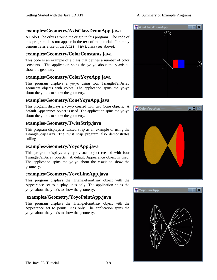## **examples/Geometry/AxisClassDemoApp.java**

A ColorCube orbits around the origin in this program. The code of this program does not appear in the text of the tutorial. It simply demonstrates a use of the Axis. java class (see above).

## **examples/Geometry/ColorConstants.java**

This code is an example of a class that defines a number of color constants. The application spins the yo-yo about the y-axis to show the geometry.

## **examples/Geometry/ColorYoyoApp.java**

This program displays a yo-yo using four TriangleFanArray geometry objects with colors. The application spins the yo-yo about the y-axis to show the geometry.

## **examples/Geometry/ConeYoyoApp.java**

This program displays a yo-yo created with two Cone objects. A default Appearance object is used. The application spins the yo-yo about the y-axis to show the geometry.

## **examples/Geometry/TwistStrip.java**

This program displays a twisted strip as an example of using the TriangleStripArray. The twist strip program also demonstrates culling.

## **examples/Geometry/YoyoApp.java**

This program displays a yo-yo visual object created with four TriangleFanArray objects. A default Appearance object is used. The application spins the yo-yo about the y-axis to show the geometry.

## **examples/Geometry/YoyoLineApp.java**

This program displays the TriangleFanArray object with the Appearance set to display lines only. The application spins the yo-yo about the y-axis to show the geometry.

## **examples/Geometry/YoyoPointApp.java**

This program displays the TriangleFanArray object with the Appearance set to points lines only. The application spins the yo-yo about the y-axis to show the geometry.





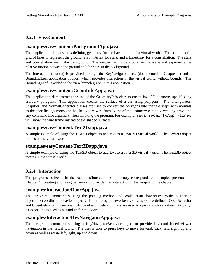## **0.2.3 EasyContent**

## **examples/easyContent/BackgroundApp.java**

This application demonstrates defining geometry for the background of a virtual world. The scene is of a grid of lines to represent the ground, a PointArray for stars, and a LineArray for a constellation. The stars and constellation are in the background. The viewer can move around in the scene and experience the relative motion between the ground and the stars in the background.

The interaction (motion) is provided through the KeyNavigator class (documented in Chapter 4) and a BoundingLeaf application bounds, which provides interaction in the virtual world without bounds. The BoundingLeaf is added to the view branch graph in this application.

#### **examples/easyContent/GeomInfoApp.java**

This application demonstrates the use of the GeometryInfo class to create Java 3D geometry specified by arbitrary polygons. This application creates the surface of a car using polygons. The Triangulator, Stripifier, and NormalGenerator classes are used to convert the polygons into triangle strips with normals so the specified geometry can be shaded. A wire frame view of the geometry can be viewed by providing any command line argument when invoking the program. For example: java GeomInfoApp -lines will show the wire frame instead of the shaded surfaces.

#### **examples/easyContent/Text2Dapp.java**

A simple example of using the Text2D object to add text to a Java 3D virtual world. The Text2D object rotates in the virtual world.

#### **examples/easyContent/Text3Dapp.java**

A simple example of using the Text3D object to add text to a Java 3D virtual world. The Text3D object rotates in the virtual world.

#### **0.2.4 Interaction**

The programs collected in the examples/Interaction subdirectory correspond to the topics presented in Chapter 4. Creating and using behaviors to provide user interaction is the subject of the chapter.

#### **examples/Interaction/DoorApp.java**

This program demonstrates using the postId() method and WakeupOnBehaviorPost WakeupCriterion objects to coordinate behavior objects. In this program two behavior classes are defined: OpenBehavior and CloseBehavior. Then one instance of each behavior class are used to open and close a door. Actually, a ColorCube is used as a stand-in for the door.

#### **examples/Interaction/KeyNavigatorApp.java**

This program demonstrates using a KeyNavigatorBehavior object to provide keyboard based viewer navigation in the virtual world. The user is able to press keys to move forward, back, left, right, up and down as well as rotate left, right, up and down.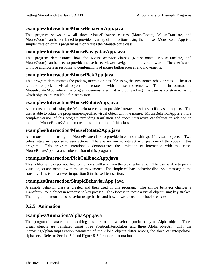## **examples/Interaction/MouseBehaviorApp.java**

This program shows how all three MouseBehavior classes (MouseRotate, MouseTranslate, and MouseZoom) can be combined to provide a variety of interactions using the mouse. MouseRotateApp is a simpler version of this program as it only uses the MouseRotate class.

#### **examples/Interaction/MouseNavigatorApp.java**

This program demonstrates how the MouseBehavior classes (MouseRotate, MouseTranslate, and MouseZoom) can be used to provide mouse-based viewer navigation in the virtual world. The user is able to move and rotate in response to combinations of mouse button presses and movements.

#### **examples/Interaction/MousePickApp.java**

This program demonstrates the picking interaction possible using the PickRotateBehavior class. The user is able to pick a visual object and rotate it with mouse movements. This is in contrast to MouseRotate2App where the program demonstrates that without picking, the user is constrained as to which objects are available for interaction.

## **examples/Interaction/MouseRotateApp.java**

A demonstration of using the MouseRotate class to provide interaction with specific visual objects. The user is able to rotate the programmer-specified visual object with the mouse. MouseBehaviorApp is a more complex version of this program providing translation and zoom interactive capabilities in addition to rotation. MouseRotate2App demonstrates a limitation of this class.

## **examples/Interaction/MouseRotate2App.java**

A demonstration of using the MouseRotate class to provide interaction with specific visual objects. Two cubes rotate in response to user actions. There is no way to interact with just one of the cubes in this program. This program intentionally demonstrates the limitation of interaction with this class. MouseRotateApp is a one cube version of this program.

#### **examples/Interaction/PickCallbackApp.java**

This is MousePickApp modified to include a callback from the picking behavior. The user is able to pick a visual object and rotate it with mouse movements. The simple callback behavior displays a message to the console. This is the answer to question 6 in the self test section.

#### **examples/Interaction/SimpleBehaviorApp.java**

A simple behavior class is created and then used in this program. The simple behavior changes a TransformGroup object in response to key presses. The effect is to rotate a visual object using key strokes. The program demonstrates behavior usage basics and how to write custom behavior classes.

#### **0.2.5 Animation**

#### **examples/Animation/AlphaApp.java**

This program illustrates the smoothing possible for the waveform produced by an Alpha object. Three visual objects are translated using three PositionInterpolators and three Alpha objects. Only the IncreasingAlphaRampDuration parameter of the Alpha objects differ among the three car-interpolatoralpha sets. Refer to Section 5.2 and Figure 5-7 for more information.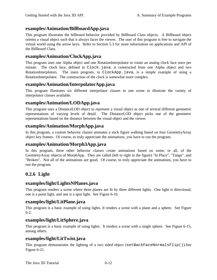## **examples/Animation/BillboardApp.java**

This program illustrates the billboard behavior provided by Billboard Class objects. A Billboard object orients a visual object such that it always faces the viewer. The user of this program is free to navigate the virtual world using the arrow keys. Refer to Section 5.3 for more information on applications and API of the Billboard Class.

#### **examples/Animation/ClockApp.java**

This program uses one Alpha object and one RotationInterpolator to rotate an analog clock face once per minute. The clock face, defined in Clock.java, is constructed from one Alpha object and two RotationInterplotors. The main program, in ClockApp.java, is a simple example of using a RotationInterpolator. The construction of the clock is somewhat more complex.

## **examples/Animation/InterpolatorApp.java**

This program illustrates six different interpolator classes in one scene to illustrate the variety of interpolator classes available.

## **examples/Animation/LODApp.java**

This program uses a DistanceLOD object to represent a visual object as one of several different geometric representations of varying levels of detail. The DistanceLOD object picks one of the geometric representations based on the distance between the visual object and the viewer.

#### **examples/Animation/MorphApp.java**

In this program, a custom behavior classes animates a stick figure walking based on four GeometryArray object key frames. Of course, to truly appreciate the animations, you have to run the program.

#### **examples/Animation/Morph3App.java**

In this program, three other behavior classes create animations based on some, or all, of the GeometryArray objects of MorphApp. They are called (left to right in the figure) "In Place", "Tango", and "Broken". Not all of the animations are good. Of course, to truly appreciate the animations, you have to run the program.

## **0.2.6 Light**

#### **examples/light/LightsNPlanes.java**

This program renders a scene where three planes are lit by three different lights. One light is directional, one is a point light, and one is a spot light. See Figure 6-16.

#### **examples/light/LitPlane.java**

This program is a basic example of using lights. It renders a scene with a plane and a sphere. See Figure 6-2.

#### **examples/light/LitSphere.java**

This program is a basic example of using lights. It renders a scene with a single sphere. See Figure 6-15, among others.

#### **examples/light/LitTwist.java**

This program demonstrates the lighting of a two sided object (setBackFaceNormalsFlip()).See Figure 6-21.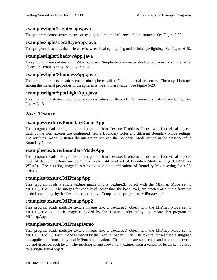## **examples/light/LightScope.java**

This program demonstrates the use of scoping to limit the influence of light sources. See Figure 6-25.

## **examples/light/LocalEyeApp.java**

This program illustrates the difference between local eye lighting and infinite eye lighting. See Figure 6-29.

## **examples/light/ShadowApp.java**

This program demonstates SimpleShadow class. SimpleShadow creates shadow polygons for simple visual objects in certain scenes. See Figure 6-28.

#### **examples/light/ShininessApp.java**

This program renders a static scene of nine spheres with different material properties. The only difference among the material properties of the spheres is the shininess value. See Figure 6-20.

## **examples/light/SpotLightApp.java**

This program illustrates the difference various values for the spot light parameters make in rendering. See Figure 6-18.

## **0.2.7 Texture**

#### **examples/texture/BoundaryColorApp**

This program loads a single texture image into four Texture2D objects for use with four visual objects. Each of the four textures are configured with a Boundary Color and different Boundary Mode settings. The resulting image illustrates the interaction between the Boundary Mode setting in the presence of a Boundary Color.

#### **examples/texture/BoundaryModeApp**

This program loads a single texture image into four Texture2D objects for use with four visual objects. Each of the four textures are configured with a different set of Boundary Mode settings (CLAMP or WRAP). The resulting image illustrates the possible combinations of Boundary Mode setting for a 2D texture.

#### **examples/texture/MIPmapApp**

This program loads a single texture image into a Texture2D object with the MIPmap Mode set to MULTI LEVEL. The images for each level (other than the base level) are created at runtime from the loaded base image by the TextureLoader utility. Compare this program to MIPmapApp2.

#### **examples/texture/MIPmapApp2**

This program loads multiple texture images into a Texture2D object with the MIPmap Mode set to MULTI\_LEVEL. Each image is loaded by the TextureLoader utility. Compare this program to MIPmapApp.

#### **examples/texture/MIPmapDemo**

This program loads multiple texture images into a Texture2D object with the MIPmap Mode set to MULTI\_LEVEL. Each image is loaded by the TextureLoader utility. The texture images used distinguish this application from the typical MIPmap application. The textures are solid color and alternate between red and green on each level. The resulting image shows how textures from a variety of levels can be used for a single visual object.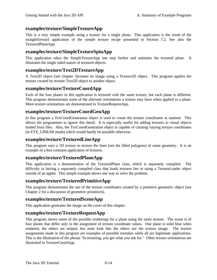## **examples/texture/SimpleTextureApp**

This is a very simple example using a texture for a single plane. This application is the result of the straightforward application of the simple texture recipe presented in Section 7.2. See also the TexturedPlaneApp.

#### **examples/texture/SimpleTextureSpinApp**

This application takes the SimpleTextureApp one step further and animates the textured plane. It illustrates the single sided nature of textured objects.

#### **examples/texture/Text2DTextureApp**

A Text2D object (see chapter 3)creates its image using a Texture2D object. This program applies the texture created by texture Text2D object to another object.

#### **examples/texture/TextureCoordApp**

Each of the four planes in this application is textured with the same texture, but each plane is different. This program demonstrates some of the alternate orientations a texture may have when applied to a plane. More texture orientations are demonstrated in TextureRequestApp.

## **examples/texture/TextureCoordGenApp**

In this program a TexCoordGeneration object is used to create the texture coordinates at runtime. This allows the programmer to ignore this detail. It is especially useful for adding textures to visual objects loaded from files. Also, the TexCoordGeneration object is capable of creating varying texture coordinates (in EYE\_LINEAR mode) which would hardly be possible otherwise.

## **examples/texture/TexturedLineApp**

This program uses a 1D texture to texture the lines (not the filled polygons) of some geometry. It is an example of a less common application of textures.

#### **examples/texture/TexturedPlaneApp**

This application is a demonstration of the TexturedPlane class, which is separately compiled. The difficulty in having a separately compiled class that loads textures lies in using a TextureLoader object outside of an applet. This simple example shows one way to solve the problem.

#### **examples/texture/TexturedPrimitiveApp**

This program demonstrates the use of the texture coordinates created by a primitive geometric object (see Chapter 2 for a discussion of geometric primitives).

#### **examples/texture/TexturedSceneApp**

This application generates the image on the cover of this chapter.

## **examples/texture/TextureRequestApp**

This program shows some of the possible renderings for a plane using the same texture. The scene is of four planes that differ only in the assignment of texture coordinate values. One plane is solid blue when rendered, the others are striped, but none look like the others nor the texture image. The texture assignments made in this program are examples of possible mistakes while all are legitimate applications. This is the illustration of the phrase "In texturing, you get what you ask for." Other texture orientations are illustrated in TextureCoordApp.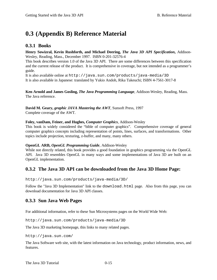# **0.3 (Appendix B) Reference Material**

#### **0.3.1 Books**

#### **Henry Sowizral, Kevin Rushforth, and Michael Deering,** *The Java 3D API Specification***,** Addison-Wesley, Reading, Mass., December 1997. ISBN 0-201-32576-4

This book describes version 1.0 of the Java 3D API. There are some differences between this specification and the current release of the product. It is comprehensive in coverage, but not intended as a programmer's guide.

It is also available online at http://java.sun.com/products/java-media/3D It is also available in Japanese: translated by Yukio Andoh, Rika Takeuchi; ISBN 4-7561-3017-8

**Ken Arnold and James Gosling,** *The Java Programming Language*, Addison-Wesley, Reading, Mass. The Java reference.

**David M. Geary,** *graphic JAVA Mastering the AWT*, Sunsoft Press, 1997 Complete coverage of the AWT.

#### **Foley, vanDam, Feiner, and Hughes,** *Computer Graphics*, Addison-Wesley

This book is widely considered the "bible of computer graphics". Comprehensive coverage of general computer graphics concepts including representation of points, lines, surfaces, and transformations. Other topics include projection, texturing, z-buffer, and many, many others.

#### **OpenGL ARB,** *OpenGL Programming Guide,* Addison-Wesley

While not directly related, this book provides a good foundation in graphics programming via the OpenGL API. Java 3D resembles OpenGL in many ways and some implementations of Java 3D are built on an OpenGL implementation.

#### **0.3.2 The Java 3D API can be downloaded from the Java 3D Home Page:**

http://java.sun.com/products/java-media/3D/

Follow the "Java 3D Implementation" link to the download.html page. Also from this page, you can download documentation for Java 3D API classes.

#### **0.3.3 Sun Java Web Pages**

For additional information, refer to these Sun Microsystems pages on the World Wide Web:

http://java.sun.com/products/java-media/3D

The Java 3D marketing homepage, this links to many related pages.

http://java.sun.com/

The Java Software web site, with the latest information on Java technology, product information, news, and features.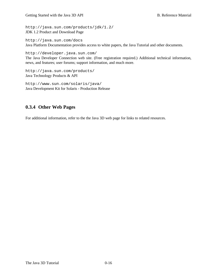http://java.sun.com/products/jdk/1.2/ JDK 1.2 Product and Download Page

http://java.sun.com/docs Java Platform Documentation provides access to white papers, the Java Tutorial and other documents.

http://developer.java.sun.com/ The Java Developer Connection web site. (Free registration required.) Additional technical information, news, and features; user forums; support information, and much more.

http://java.sun.com/products/ Java Technology Products & API

http://www.sun.com/solaris/java/ Java Development Kit for Solaris - Production Release

## **0.3.4 Other Web Pages**

For additional information, refer to the the Java 3D web page for links to related resources.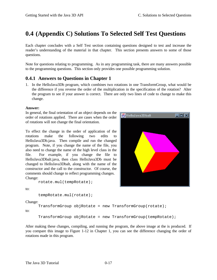## **0.4 (Appendix C) Solutions To Selected Self Test Questions**

Each chapter concludes with a Self Test section containing questions designed to test and increase the reader's understanding of the material in that chapter. This section presents answers to some of those questions.

Note for questions relating to programming. As in any programming task, there are many answers possible to the programming questions. This section only provides one possible programming solution.

## **0.4.1 Answers to Questions in Chapter 1**

1. In the HelloJava3Db program, which combines two rotations in one TransformGroup, what would be the difference if you reverse the order of the multiplication in the specification of the rotation? Alter the program to see if your answer is correct. There are only two lines of code to change to make this change.

#### **Answer:**

In general, the final orientation of an object depends on the order of rotations applied. There are cases when the order of rotations will not change the final orientation.

To effect the change in the order of application of the rotations make the following two edits to HelloJava3Db.java. Then compile and run the changed program. Note, if you change the name of the file, you also need to change the name of the high level class in the file. For example, if you change the file to HelloJava3Dbalt.java, then class HelloJava3Db must be changed to HelloJava3Dbalt, along with the name of the constructor and the call to the constructor. Of course, the comments should change to reflect programming changes. Change:

rotate.mul(tempRotate);



to:

```
tempRotate.mul(rotate);
```
Change:

TransformGroup objRotate = new TransformGroup(rotate);

to:

```
TransformGroup objRotate = new TransformGroup(tempRotate);
```
After making these changes, compiling, and running the program, the above image at the is produced. If you compare this image to Figure 1-12 in Chapter 1, you can see the difference changing the order of rotations made in this program.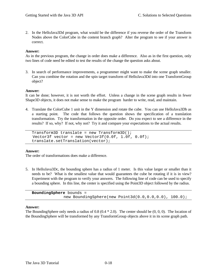2. In the HelloJava3Dd program, what would be the difference if you reverse the order of the Transform Nodes above the ColorCube in the content branch graph? Alter the program to see if your answer is correct.

#### **Answer:**

As in the previous program, the change in order does make a difference. Also as in the first question, only two lines of code need be edited to test the results of the change the question asks about.

3. In search of performance improvements, a programmer might want to make the scene graph smaller. Can you combine the rotation and the spin target transform of HelloJava3Dd into one TransformGroup object?

#### **Answer:**

It can be done; however, it is not worth the effort. Unless a change in the scene graph results in fewer Shape3D objects, it does not make sense to make the program harder to write, read, and maintain.

4. Translate the ColorCube 1 unit in the Y dimension and rotate the cube. You can use HelloJava3Db as a starting point. The code that follows the question shows the specification of a translation transformation. Try the transformation in the opposite order. Do you expect to see a difference in the results? If so, why? If not, why not? Try it and compare your expectations to the actual results.

Transform3D translate = new Transform3D(); Vector3f vector = new Vector3f $(0.0f, 1.0f, 0.0f)$ ; translate.setTranslation(vector);

#### **Answer:**

The order of transformations does make a difference.

5. In HelloJava3Dc, the bounding sphere has a radius of 1 meter. Is this value larger or smaller than it needs to be? What is the smallest value that would guarantees the cube be rotating if it is in view? Experiment with the program to verify your answers. The following line of code can be used to specify a bounding sphere. In this line, the center is specified using the Point3D object followed by the radius.

| <b>BoundingSphere</b> bounds = |                                                            |
|--------------------------------|------------------------------------------------------------|
|                                | new BoundingSphere(new Point3d( $0.0, 0.0, 0.0$ ), 100.0); |

#### **Answer:**

The BoundingSphere only needs a radius of 0.8 (0.4 \* 2.0). The center should be (0, 0, 0). The location of the BoundingSphere will be transformed by any TransformGroup objects above it in its scene graph path.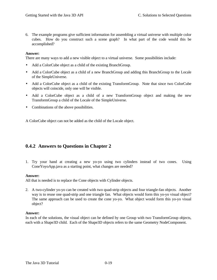6. The example programs give sufficient information for assembling a virtual universe with multiple color cubes. How do you construct such a scene graph? In what part of the code would this be accomplished?

#### **Answer:**

There are many ways to add a new visible object to a virtual universe. Some possibilities include:

- Add a ColorCube object as a child of the existing BranchGroup.
- Add a ColorCube object as a child of a new BranchGroup and adding this BranchGroup to the Locale of the SimpleUniverse.
- Add a ColorCube object as a child of the existing TransformGroup. Note that since two ColorCube objects will coincide, only one will be visible.
- Add a ColorCube object as a child of a new TransformGroup object and making the new TransformGroup a child of the Locale of the SimpleUniverse.
- Combinations of the above possibilities.

A ColorCube object can not be added as the child of the Locale object.

#### **0.4.2 Answers to Questions in Chapter 2**

1. Try your hand at creating a new yo-yo using two cylinders instead of two cones. Using ConeYoyoApp.java as a starting point, what changes are needed?

#### **Answer:**

All that is needed is to replace the Cone objects with Cylinder objects.

2. A two-cylinder yo-yo can be created with two quad-strip objects and four triangle-fan objects. Another way is to reuse one quad-strip and one triangle fan. What objects would form this yo-yo visual object? The same approach can be used to create the cone yo-yo. What object would form this yo-yo visual object?

#### **Answer:**

In each of the solutions, the visual object can be defined by one Group with two TransformGroup objects, each with a Shape3D child. Each of the Shape3D objects refers to the same Geometry NodeComponent.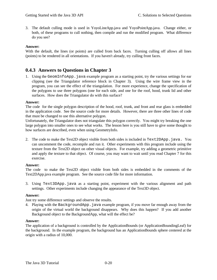3. The default culling mode is used in YoyoLineApp.java and YoyoPointApp.java. Change either, or both, of these programs to cull nothing, then compile and run the modified program. What difference do you see?

#### **Answer:**

With the default, the lines (or points) are culled from back faces. Turning culling off allows all lines (points) to be rendered in all orientations. If you haven't already, try culling front faces.

#### **0.4.3 Answers to Questions in Chapter 3**

1. Using the GeomInfoApp. java example program as a starting point, try the various settings for ear clipping (see the Triangulator reference block in Chapter 3). Using the wire frame view in the program, you can see the effect of the triangulation. For more experience, change the specification of the polygons to use three polygons (one for each side, and one for the roof, hood, trunk lid and other surfaces. How does the Triangulator do with this surface?

#### **Answer:**

The code for the single polygon description of the hood, roof, trunk, and front and rear glass is embedded in the application code. See the source code for more details. However, there are three other lines of code that must be changed to use this alternative polygon.

Unfortunately, the Triangulator does not triangulate this polygon correctly. You might try breaking the one large polygon into smaller ones to see what works. The lesson here is you still have to give some thought to how surfaces are described, even when using GeometryInfo.

2. The code to make the Text2D object visible from both sides is included in Text2DApp. java. You can uncomment the code, recompile and run it. Other experiments with this program include using the texture from the Text2D object on other visual objects. For example, try adding a geometric primitive and apply the texture to that object. Of course, you may want to wait until you read Chapter 7 for this exercise.

#### **Answer:**

The code to make the Text2D object visible from both sides is embedded in the comments of the Text2DApp.java example program. See the source code file for more information.

3. Using Text3DApp.java as a starting point, experiment with the various alignment and path settings. Other experiments include changing the appearance of the Text3D object.

#### **Answer:**

Just try some difference settings and observe the results.

4. Playing with the BackgroundApp.java example program, if you move far enough away from the origin of the virtual world the background disappears. Why does this happen? If you add another Background object to the BackgroundApp, what will the effect be?

#### **Answer:**

The application of a background is controlled by the ApplicationBounds (or ApplicationBoundingLeaf) for the background. In the example program, the background has an ApplicationBounds sphere centered at the origin with a radius of 10,000.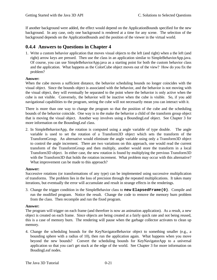If another background were added, the effect would depend on the ApplicationBounds specified for the new background. In any case, only one background is rendered at a time for any scene. The selection of the background depends on the ApplicationBounds and the position of the viewer in the virtual world.

## **0.4.4 Answers to Questions in Chapter 4**

1. Write a custom behavior application that moves visual objects to the left (and right) when a the left (and right) arrow keys are pressed. Then use the class in an application similar to SimpleBehaviorApp.java. Of course, you can use SimpleBehaviorApp.java as a starting point for both the custom behavior class and the application. What happens as the ColorCube object moves out of the view? How do you fix the problem?

#### **Answer:**

When the cube moves a sufficient distance, the behavior scheduling bounds no longer coincides with the visual object. Since the bounds object is associated with the behavior, and the behavior is not moving with the visual object, they will eventually be separated to the point where the behavior is only active when the cube is not visible. Conversely, the behavior will be inactive when the cube is visible. So, if you add navigational capabilities to the program, seeing the cube will not necessarily mean you can interact with it.

There is more than one way to change the program so that the position of the cube and the scheduling bounds of the behavior coincide. One way is to the make the behavior a child of the transform group object that is moving the visual object. Another way involves using a BoundingLeaf object. See Chapter 3 for more information on the BoundingLeaf class.

2. In SimpleBehaviorApp, the rotation is computed using a angle variable of type double. The angle variable is used to set the rotation of a Transform3D object which sets the transform of the TransformGroup. An alternative would eliminate the angle variable using only a Transform3D object to control the angle increment. There are two variations on this approach, one would read the current transform of the TransformGroup and then multiply, another would store the transform in a local Transform3D object. In either case, the new rotation is found by multiplying the previous Transform3D with the Transform3D that holds the rotation increment. What problem may occur with this alternative? What improvement can be made to this approach?

#### **Answer:**

Successive rotations (or transformations of any type) can be implemented using successive multiplication of transforms. The problem lies in the loss of precision through the repeated multiplications. It takes many iterations, but eventually the error will accumulate and result in strange effects in the renderings.

3. Change the trigger condition in the SimpleBehavior class to **new ElapsedFrame(0)**. Compile and run the modified program. Notice the result. Change the code to remove the memory burn problem from the class. Then recompile and run the fixed program.

#### **Answer:**

The program will trigger on each frame (and therefore is now an animation application). As a result, a new object is created on each frame. Since objects are being created at a fairly quick rate and not being reused, this is a case of memory burn. The rendering will pause when the garbage collector activates to clean up memory.

4. Change the scheduling bounds for the KeyNavigatorBehavior object to something smaller (e.g., a bounding sphere with a radius of 10), then run the application again. What happens when you move beyond the new bounds? Convert the scheduling bounds for KeyNavigatorApp to a universal application so that you can't get stuck at the edge of the world. See Chapter 3 for more information on BoudingLeaf nodes.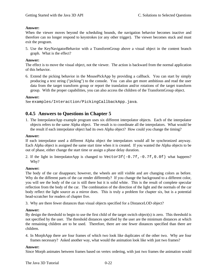#### **Answer:**

When the viewer moves beyond the scheduling bounds, the navigation behavior becomes inactive and therefore can no longer respond to keystrokes (or any other trigger). The viewer becomes stuck and must exit the program.

5. Use the KeyNavigatorBehavior with a TransformGroup above a visual object in the content branch graph. What is the effect?

#### **Answer:**

The effect is to move the visual object, not the viewer. The action is backward from the normal application of this behavior.

6. Extend the picking behavior in the MousePickApp by providing a callback. You can start by simply producing a text string ("picking") to the console. You can also get more ambitious and read the user data from the target transform group or report the translation and/or rotations of the target transform group. With the proper capabilities, you can also access the children of the TransformGroup object.

#### **Answer:**

```
See examples/Interaction/PickingCallbackApp.java.
```
## **0.4.5 Answers to Questions in Chapter 5**

1. The InterpolatorApp example program uses six different interpolator objects. Each of the interpolator objects refers to the same Alpha object. The result is to coordinate all the interpolators. What would be the result if each interpolator object had its own Alpha object? How could you change the timing?

#### **Answer:**

If each interpolator used a different Alpha object the interpolators would all be synchronized anyway. Each Alpha object is assigned the same start time when it is created. If you wanted the Alpha objects to be out of phase, either change the start time or assign a phase delay duration.

2. If the light in InterpolatorApp is changed to Vector3f( $-0.7f$ , $-0.7f$ , $0.0f$ ) what happens? Why?

#### **Answer:**

The body of the car disappears; however, the wheels are still visible and are changing colors as before. Why do the different parts of the car render differently? If you change the background to a different color, you will see the body of the car is still there but it is solid white. This is the result of complete specular reflection from the body of the car. The combination of the direction of the light and the normals of the car body reflect the light source as a mirror does. This is truly a problem for chapter six, but is a potential head-scratcher for readers of chapter five.

3. Why are there fewer distances than visual objects specified for a DistanceLOD object?

#### **Answer:**

By design the threshold to begin to use the first child of the target switch object(s) is zero. This threshold is not specified by the user. The threshold distances specified by the user are the minimum distances at which the remaining children are to be used. Therefore, there are one fewer distances specified than there are children.

4. In MorphApp there are four frames of which two look like duplicates of the other two. Why are four frames necessary? Asked another way, what would the animation look like with just two frames?

#### **Answer:**

Since Morph animates between frames based on vertex ordering, with just two frames the animation would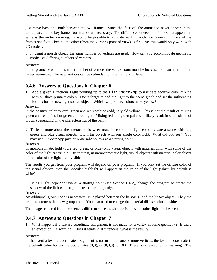just move back and forth between the two frames. Since the 'feet' of the animation never appear in the same place in one key frame, four frames are necessary. The difference between the frames that appear the same is the vertex ordering. It would be possible to animate walking with two frames if in one of the frames one foot is behind the other (from the viewer's point of view). Of course, this would only work with 2D models.

5. In using a morph object, the same number of vertices are used. How can you accommodate geometric models of differing numbers of vertices?

#### **Answer:**

In the geometry with the smaller number of vertices the vertex count must be increased to match that of the larger geometry. The new vertices can be redundant or internal to a surface.

#### **0.4.6 Answers to Questions in Chapter 6**

1. Add a green DirectionalLight pointing up to the LitSphereApp to illustrate additive color mixing with all three primary colors. Don't forget to add the light to the scene graph and set the influencing bounds for the new light source object. Which two primary colors make yellow?

#### **Answer:**

In the positive color system, green and red combine (add) to yield yellow. This is not the result of mixing green and red paint, but green and red light. Mixing red and green paint will likely result in some shade of brown (depending on the characteristics of the paint).

2. To learn more about the interaction between material colors and light colors, create a scene with red, green, and blue visual objects. Light the objects with one single color light. What did you see? You may use LitSpereApp.java or MaterialApp.java as a starting point.

#### **Answer:**

In monochromatic light (pure red, green, or blue) only visual objects with material color with some of the color of the light are visible. By contrast, in monochromatic light, visual objects with material color absent of the color of the light are invisible.

The results you get from your program will depend on your program. If you only set the diffuse color of the visual objects, then the specular highlight will appear in the color of the light (which by default is white).

3. Using LightScopeApp.java as a starting point (see Section 6.6.2), change the program to create the shadow of the lit box through the use of scoping only.

#### **Answer:**

An additional group node is necessary. It is placed between the litBoxTG and the litBox object. They the scope references that new group node. You also need to change the material diffuse color to white.

The image rendered from the scene is different since the shadow is lit by the other lights in the scene.

#### **0.4.7 Answers to Questions in Chapter 7**

1. What happens if a texture coordinate assignment is not made for a vertex in some geometry? Is there an exception? A warning? Does it render? If it renders, what is the result?

#### **Answer:**

In the event a texture coordinate assignment is not made for one or more vertices, the texture coordinate is the default value for texture coordinates (0,0), or (0,0,0) for 3D. There is no exception or warning. The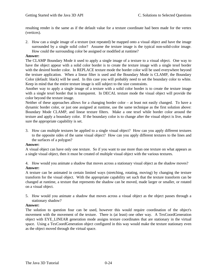resulting render is the same as if the default value for a texture coordinate had been made for the vertex (vertices).

2. How can a single image of a texture (not repeated) be mapped onto a visual object and have the image surrounded by a single solid color? Assume the texture image is the typical non-solid-color image. How could the surrounding color be assigned or modified at runtime?

#### **Answer:**

The CLAMP Boundary Mode it used to apply a single image of a texture to a visual object. One way to have the object appear with a solid color border is to create the texture image with a single texel border with the desired border color. In REPLACE texture mode the border color will be used everywhere beyond the texture application. When a linear filter is used and the Boundary Mode is CLAMP, the Boundary Color (default: black) will be used. In this case you will probably need to set the boundary color to white. Keep in mind that the entire texture image is still subject to the size constraints.

Another way to apply a single image of a texture with a solid color border is to create the texture image with a single texel border that is transparent. In DECAL texture mode the visual object will provide the color beyond the texture image.

Neither of these approaches allows for a changing border color – at least not easily changed. To have a dynamic border color, or just one assigned at runtime, use the same technique as the first solution above: Boundary Mode CLAMP, and linear texture filters. Make a one texel while border color around the texture and apply a boundary color. If the boundary color is to change after the visual object is live, make sure the appropriate capability is set.

3. How can multiple textures be applied to a single visual object? How can you apply different textures to the opposite sides of the same visual object? How can you apply different textures to the lines and the surfaces of a polygon?

#### **Answer:**

A visual object can have only one texture. So if you want to use more than one texture on what appears as a single visual object, then it must be created of multiple visual object with the various textures.

4. How would you animate a shadow that moves across a stationary visual object as the shadow moves? **Answer:**

A texture can be animated in certain limited ways (stretching, rotating, moving) by changing the texture transform for the visual object. With the appropriate capability set such that the texture transform can be changed at runtime, a texture that represents the shadow can be moved, made larger or smaller, or rotated on a visual object.

5. How would you animate a shadow that moves across a visual object as the object passes through a stationary shadow?

#### **Answer:**

The solution to question four can be used, however this would require coordination of the object's movement with the movement of the texture. There is (at least) one other way. A TexCoordGeneration object with EYE\_LINEAR generation mode assigns texture coordinates that are stationary in the virtual space. Using a TexCoordGeneration object configured in this way would make the texture stationary even as the object moved through the virtual space.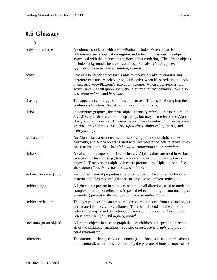# **0.5 Glossary**

**A**

| activation volume        | A volume associated with a ViewPlatform Node. When the activation<br>volume intersects application regions and scheduling regions, the objects<br>associated with the intersecting regions affect rendering. The affecte objects<br>include backgrounds, behaviors, and fog. See also ViewPlatform,<br>application bounds, and scheduling bounds. |
|--------------------------|---------------------------------------------------------------------------------------------------------------------------------------------------------------------------------------------------------------------------------------------------------------------------------------------------------------------------------------------------|
| active                   | Said of a behavior object that is able to receive a wakeup stimulus and<br>therefore execute. A behavior object is active when it's scheduling bounds<br>intersects a ViewPlatform's activation volume. When a behavior is not<br>active, Java 3D will ignore the wakeup criteria for that behavior. See also<br>activation volume and behavior.  |
| aliasing                 | The appearance of jaggies in lines and curves. The result of sampling the a<br>continuous function. See also <i>jaggies</i> and <i>antialiasing</i> .                                                                                                                                                                                             |
| alpha                    | In computer graphics, the term 'alpha' normally refers to transparency. In<br>Java 3D alpha also refers to transparency, but may also refer to the Alpha<br>class, or an alpha value. This may be a source of confusion for experienced<br>graphics programmers. See also Alpha class, alpha value, RGBA, and<br>transparency.                    |
| Alpha class              | An Alpha class object creates a time-varying function of alpha values.<br>Normally, and Alpha object is used with Interpolator objects to create time-<br>based animations. See also alpha value, animation and interaction.                                                                                                                      |
| alpha value              | A value in the range 0.0 to 1.0, inclusive. Alpha values are used in various<br>capacities in Java 3D (e.g., transparency value or Interpolator behavior<br>objects). Time varying alpha values are produced by Alpha objects. See<br>also Alpha Class, behavior, and interpolator.                                                               |
| ambient (material) color | Part of the material properties of a visual object. The ambient color of a<br>material and the ambient light in scene produce an ambient reflection.                                                                                                                                                                                              |
| ambient light            | A light source present in all places shining in all directions used to model the<br>complex inter-object reflections (repeated reflection of light from one object<br>to another) present in the real world. See also <i>ambient color</i> .                                                                                                      |
| ambient reflection       | The light produced by an ambient light source reflected from a visual object<br>with material appearance attributes. The result depends on the ambient<br>color of the object and the color of the ambient light source. See ambient<br>color, ambient light, and lighting model.                                                                 |
| ancestors (of an object) | All of the objects in a scene graph that are children of a specific object and<br>all of the childrens' ancestors. See also <i>object</i> , <i>scene graph</i> , and <i>parent</i> -<br>child relationship.                                                                                                                                       |
| animation                | The automatic change of visual content (e.g., changes based on time alone).<br>In this tutorial, animations are driven by the passage of time, changes of the                                                                                                                                                                                     |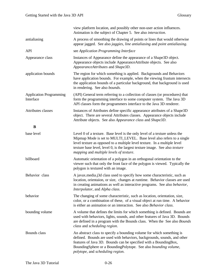|                                             | view platform location, and possibly other non-user action influences.<br>Animation is the subject of Chapter 5. See also interaction.                                                                                                                                                                                                                            |
|---------------------------------------------|-------------------------------------------------------------------------------------------------------------------------------------------------------------------------------------------------------------------------------------------------------------------------------------------------------------------------------------------------------------------|
| antialiasing                                | A process of smoothing the drawing of points or lines that would otherwise<br>appear jagged. See also jaggies, line antialiasing and point antialiasing.                                                                                                                                                                                                          |
| API                                         | see Application Programming Interface                                                                                                                                                                                                                                                                                                                             |
| Appearance class                            | Instances of Appearance define the appearance of a Shape3D object.<br>Appearance objects include AppearanceAttribute objects. See also<br>AppearanceAttributes and Shape3D.                                                                                                                                                                                       |
| application bounds                          | The region for which something is applied. Backgrounds and Behaviors<br>have application bounds. For example, when the viewing frustum intersects<br>the application bounds of a particular background, that background is used<br>in rendering. See also bounds.                                                                                                 |
| <b>Application Programming</b><br>Interface | (API) General term referring to a collection of classes (or procedures) that<br>form the programming interface to some computer system. The Java 3D<br>API classes form the programmers interface to the Java 3D renderer.                                                                                                                                        |
| Attributes classes                          | Instances of Attributes define specific appearance attributes of a Shape3D<br>object. There are several Attributes classes. Appearance objects include<br>Attribute objects. See also Appearance class and Shape3D.                                                                                                                                               |
| B                                           |                                                                                                                                                                                                                                                                                                                                                                   |
| base level                                  | Level 0 of a texture. Base level is the only level of a texture unless the<br>Mipmap Mode is set to MULTI_LEVEL. Base level also refers to a single<br>level texture as opposed to a multiple level texture. In a multiple level<br>texture base level, level 0, is the largest texture image. See also <i>texture</i><br>mapping and multiple levels of texture. |
| billboard                                   | Automatic orientation of a polygon in an orthogonal orientation to the<br>viewer such that only the front face of the polygon is viewed. Typically the<br>polygon is textured with an image.                                                                                                                                                                      |
| Behavior class                              | A javax.media.j3d class used to specify how some characteristic, such as<br>location, orientaion, or size, changes at runtime. Behavior classes are used<br>in creating animations as well as interactive programs. See also behavior,<br>Interpolator, and Alpha class.                                                                                          |
| behavior                                    | The changing of some characteristic, such as location, orientation, size,<br>color, or a combination of these, of a visual object at run time. A behavior<br>is either an animation or an interaction. See also Behavior class.                                                                                                                                   |
| bounding volume                             | A volume that defines the limits for which something is defined. Bounds are<br>used with behaviors, lights, sounds, and other features of Java 3D. Bounds<br>are defined in a program with the Bounds class. When the See also Bounds<br>class and scheduling region.                                                                                             |
| Bounds class                                | An abstract class to specify a bounding volume for which something is<br>defined. Bounds are used with behaviors, backgrounds, sounds, and other<br>features of Java 3D. Bounds can be specified with a BoundingBox,<br>BoundingSphere or a BoundingPolytope. See also bounding volume,<br>polytope, and scheduling region.                                       |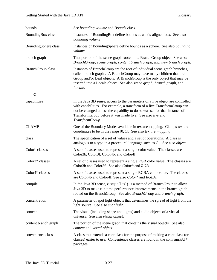| bounds                       | See bounding volume and Bounds class.                                                                                                                                                                                                                                                                                    |
|------------------------------|--------------------------------------------------------------------------------------------------------------------------------------------------------------------------------------------------------------------------------------------------------------------------------------------------------------------------|
| BoundingBox class            | Instances of BoundingBox define bounds as a axis-aligned box. See also<br>bounding volume.                                                                                                                                                                                                                               |
| BoundingSphere class         | Instances of BoundingSphere define bounds as a sphere. See also bounding<br>volume.                                                                                                                                                                                                                                      |
| branch graph                 | That portion of the scene graph rooted in a BranchGroup object. See also:<br>BranchGroup, scene graph, content branch graph, and view branch graph.                                                                                                                                                                      |
| <b>BranchGroup class</b>     | Instances of BranchGroup are the root of individual scene graph branches,<br>called branch graphs. A BranchGroup may have many children that are<br>Group and/or Leaf objects. A BranchGroup is the only object that may be<br>inserted into a Locale object. See also scene graph, branch graph, and<br>Locale.         |
| $\mathbf C$                  |                                                                                                                                                                                                                                                                                                                          |
| capabilities                 | In the Java 3D sense, access to the parameters of a live object are controlled<br>with capabilities. For example, a transform of a live TransformGroup can<br>not be changed unless the capability to do so was set for that instance of<br>TransformGroup before it was made live. See also live and<br>TransformGroup. |
| <b>CLAMP</b>                 | One of the Boundary Modes available in texture mapping. Clamps texture<br>coordinates to be in the range $[0, 1]$ . See also <i>texture mapping</i> .                                                                                                                                                                    |
| class                        | The specification of a set of values and a set of operations. A class is<br>analogous to a type in a procedural language such as C. See also object.                                                                                                                                                                     |
| Color* classes               | A set of classes used to represent a single color value. The classes are<br>Color3b, Color3f, Color4b, and Color4f.                                                                                                                                                                                                      |
| Color3* classes              | A set of classes used to represent a single RGB color value. The classes are<br>Color3b and Color3f. See also Color* and RGB.                                                                                                                                                                                            |
| Color <sub>4</sub> * classes | A set of classes used to represent a single RGBA color value. The classes<br>are Color4b and Color4f. See also Color* and RGBA.                                                                                                                                                                                          |
| compile                      | In the Java 3D sense, compile () is a method of BranchGroup to allow<br>Java 3D to make run-time performance improvements in the branch graph<br>rooted on the BranchGroup. See also BranchGroup and branch graph.                                                                                                       |
| concentration                | A parameter of spot light objects that determines the spread of light from the<br>light source. See also spot light.                                                                                                                                                                                                     |
| content                      | The visual (including shape and lights) and audio objects of a virtual<br>universe. See also visual object.                                                                                                                                                                                                              |
| content branch graph         | The portion of the scene graph that contains the visual objects. See also<br>content and visual object.                                                                                                                                                                                                                  |
| convenience class            | A class that extends a core class for the purpose of making a core class (or<br>classes) easier to use. Convenience classes are found in the com.sun.j3d.*<br>packages.                                                                                                                                                  |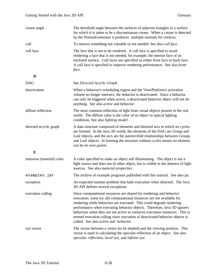| crease angle              | The threshold angle between the surfaces of adjacent triangles in a surface<br>for which it is taken to be a discontinuous crease. When a crease is detected<br>by the NormalGenerator it produces multiple normals for vertices.                                                                                                                                                                                                                                                                       |
|---------------------------|---------------------------------------------------------------------------------------------------------------------------------------------------------------------------------------------------------------------------------------------------------------------------------------------------------------------------------------------------------------------------------------------------------------------------------------------------------------------------------------------------------|
| cull                      | To remove something not valuable or not needed. See also <i>cull face</i> .                                                                                                                                                                                                                                                                                                                                                                                                                             |
| cull face                 | The face that is not to be rendered. A cull face is specified to avoid<br>rendering a face that is not needed, for example, the interior face of an<br>enclosed surface. Cull faces are specified as either front face or back face.<br>A cull face is specified to improve rendering performance. See also front<br>face.                                                                                                                                                                              |
| D                         |                                                                                                                                                                                                                                                                                                                                                                                                                                                                                                         |
| <b>DAG</b>                | See Directed Acyclic Graph                                                                                                                                                                                                                                                                                                                                                                                                                                                                              |
| deactivation              | When a behavior's scheduling region and the ViewPlatform's activation<br>volume no longer intersect, the behavior is deactivated. Since a behavior<br>can only be triggered when active, a deactivated behavior object will not do<br>anything. See also active and behavior.                                                                                                                                                                                                                           |
| diffuse reflection        | The most common reflection of light from visual objects present in the real<br>world. The diffuse color is the color of an object in typical lighting<br>conditions. See also lighting model.                                                                                                                                                                                                                                                                                                           |
| directed acyclic graph    | A data structure composed of elements and directed arcs in which no cycles<br>are formed. In the Java 3D world, the elements of the DAG are Group and<br>Leaf objects, and the arcs are the parent/child relationships between Groups<br>and Leaf objects. In forming the structure without cycles means no element<br>can be its own parent.                                                                                                                                                           |
| ${\bf E}$                 |                                                                                                                                                                                                                                                                                                                                                                                                                                                                                                         |
| emissive (material) color | A color specified to make an object self illuminating. The object is not a<br>light source and does not lit other object, but is visible in the absence of light<br>sources. See also material properties.                                                                                                                                                                                                                                                                                              |
| examples.jar              | The archive of example programs published with this tutorial. See also jar.                                                                                                                                                                                                                                                                                                                                                                                                                             |
| exception                 | An expected runtime problem that halts execution when detected. The Java<br>3D API defines several exceptions.                                                                                                                                                                                                                                                                                                                                                                                          |
| execution culling         | Since computational resources are shared for rendering and behavior<br>execution; some (or all) computational resources are not available for<br>rendering while behaviors are executed. This could degrade rendering<br>performance when executing behavior objects. Therefore, Java 3D ignores<br>behaviors when they are not active to conserve execution resources. This is<br>termed execution culling since execution of deactivated behavior objects is<br>culled. See also active and behavior. |
| eye vector                | The vector between a vertex (to be shaded) and the viewing position. This<br>vector is used in calculating the specular reflection of an object. See also<br>specular reflection, local eye, and infinite eye.                                                                                                                                                                                                                                                                                          |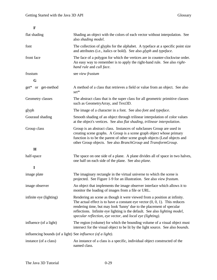| flat shading                                                       | Shading an object with the colors of each vector without interpolation. See<br>also shading model.                                                                                                                                                                                                                                                                              |
|--------------------------------------------------------------------|---------------------------------------------------------------------------------------------------------------------------------------------------------------------------------------------------------------------------------------------------------------------------------------------------------------------------------------------------------------------------------|
| font                                                               | The collection of glyphs for the alphabet. A typeface at a specific point size<br>and attributes (i.e., italics or bold). See also glyph and typeface.                                                                                                                                                                                                                          |
| front face                                                         | The face of a polygon for which the vertices are in counter-clockwise order.<br>An easy way to remember is to apply the right-hand rule. See also <i>right</i> -<br>hand rule and cull face.                                                                                                                                                                                    |
| frustum                                                            | see view frustum                                                                                                                                                                                                                                                                                                                                                                |
| G                                                                  |                                                                                                                                                                                                                                                                                                                                                                                 |
| get* or get-method                                                 | A method of a class that retrieves a field or value from an object. See also<br>set*                                                                                                                                                                                                                                                                                            |
| Geometry classes                                                   | The abstract class that is the super class for all geometric primitive classes<br>such as GeometryArray, and Text3D.                                                                                                                                                                                                                                                            |
| glyph                                                              | The image of a character in a font. See also <i>font</i> and <i>typeface</i> .                                                                                                                                                                                                                                                                                                  |
| Gouraud shading                                                    | Smooth shading of an object through trilinear interpolation of color values<br>at the object's vertices. See also flat shading, trilinear interpolation.                                                                                                                                                                                                                        |
| Group class                                                        | Group is an abstract class. Instances of subclasses Group are used in<br>creating scene graphs. A Group is a scene graph object whose primary<br>function is to be the parent of other scene graph objects (Leaf objects and<br>other Group objects. See also BranchGroup and TransformGroup.                                                                                   |
| H                                                                  |                                                                                                                                                                                                                                                                                                                                                                                 |
| half-space                                                         | The space on one side of a plane. A plane divides all of space in two halves,<br>one half on each side of the plane. See also plane.                                                                                                                                                                                                                                            |
| $\mathbf I$                                                        |                                                                                                                                                                                                                                                                                                                                                                                 |
| image plate                                                        | The imaginary rectangle in the virtual universe to which the scene is<br>projected. See Figure 1-9 for an illustration. See also view frustum.                                                                                                                                                                                                                                  |
| image observer                                                     | An object that implements the image observer interface which allows it to<br>monitor the loading of images from a file or URL.                                                                                                                                                                                                                                                  |
| infinite eye (lighting)                                            | Rendering an scene as though it were viewed from a position at infinity.<br>The actual effect is to have a constant eye vector $(0, 0, 1)$ . This reduces<br>rendering time, but may look 'funny' due to the placement of specular<br>reflections. Infinite eye lighting is the default. See also lighting model,<br>specular reflection, eye vector, and local eye (lighting). |
| influence (of a light)                                             | The region (volume) for which the bounding volume of a visual object must<br>intersect for the visual object to be lit by the light source. See also <i>bounds</i> .                                                                                                                                                                                                            |
| influencing bounds (of a light) See <i>influence</i> (of a light). |                                                                                                                                                                                                                                                                                                                                                                                 |
| instance (of a class)                                              | An instance of a class is a specific, individual object constructed of the<br>named class.                                                                                                                                                                                                                                                                                      |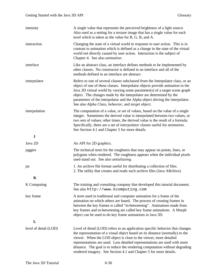| intensity             | A single value that represents the perceived brightness of a light source.<br>Also used as a setting for a texture image that has a single value for each<br>texel which is taken as the value for R, G, B, and A.                                                                                                                                                                                                                                                    |
|-----------------------|-----------------------------------------------------------------------------------------------------------------------------------------------------------------------------------------------------------------------------------------------------------------------------------------------------------------------------------------------------------------------------------------------------------------------------------------------------------------------|
| interaction           | Changing the state of a virtual world in response to user action. This is in<br>contrast to animation which is defined as a change in the state of the virtual<br>world not directly caused by user action. Interaction is the subject of<br>Chapter 4. See also <i>animation</i> .                                                                                                                                                                                   |
| interface             | Like an abstract class, an interface defines methods to be implemented by<br>other classes. No constructor is defined in an interface and all of the<br>methods defined in an interface are abstract.                                                                                                                                                                                                                                                                 |
| interpolator          | Refers to one of several classes subclassed from the Interpolator class, or an<br>object of one of these classes. Interpolator objects provide animation in the<br>Java 3D virtual world by varying some parameter(s) of a target scene graph<br>object. The changes made by the interpolator are determined by the<br>parameters of the interpolator and the Alpha object driving the interpolator.<br>See also Alpha Class, behavior, and target object.            |
| interpolation         | The computation of a value, or set of values, based on the value of a single<br>integer. Sometimes the derived value is interpolated between two values, or<br>two sets of values; other times, the derived value is the result of a formula.<br>Specifically, there are a set of <i>interpolator</i> classes useful for <i>animation</i> .<br>See Section 4.1 and Chapter 5 for more details.                                                                        |
| ${\bf J}$             |                                                                                                                                                                                                                                                                                                                                                                                                                                                                       |
| Java 2D               | An API for 2D graphics.                                                                                                                                                                                                                                                                                                                                                                                                                                               |
| jaggies               | The technical term for the roughness that may appear on points, lines, or<br>polygons when rendered. The roughness appears when the individual pixels<br>used stand out. See also <i>antialiasing</i> .                                                                                                                                                                                                                                                               |
| jar                   | 1. An archive file format useful for distributing a collection of files.<br>2. The utility that creates and reads such archive files (Java ARchive).                                                                                                                                                                                                                                                                                                                  |
| K                     |                                                                                                                                                                                                                                                                                                                                                                                                                                                                       |
| K Computing           | The training and consulting company that developed this tutorial document.<br>See also http://www.kcomputing.com                                                                                                                                                                                                                                                                                                                                                      |
| key frame             | A term used in traditional and computer animation for a frame of the<br>animation on which others are based. The process of creating frames in<br>between the key frames is called "in-betweening". Animations made from<br>key frames and in-betweening are called key frame animations. A Morph<br>object can be used to do key frame animations in Java 3D.                                                                                                        |
| L                     |                                                                                                                                                                                                                                                                                                                                                                                                                                                                       |
| level of detail (LOD) | Level of detail (LOD) refers to an application specific behavior that changes<br>the representation of a visual object based on its distance (normally) to the<br>viewer. When the LOD object is close to the viewer, more detailed<br>representations are used. Less detailed representations are used with more<br>distance. The goal is to reduce the rendering computation without degrading<br>rendered imagery. See Section 4.1 and Chapter 5 for more details. |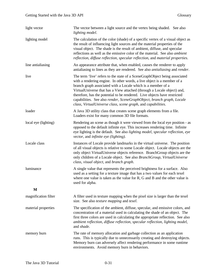| light vector         | The vector between a light source and the vertex being shaded. See also<br>lighting model.                                                                                                                                                                                                                                                                                                                                                                                                                             |
|----------------------|------------------------------------------------------------------------------------------------------------------------------------------------------------------------------------------------------------------------------------------------------------------------------------------------------------------------------------------------------------------------------------------------------------------------------------------------------------------------------------------------------------------------|
| lighting model       | The calculation of the color (shade) of a specific vertex of a visual object as<br>the result of influencing light sources and the material properties of the<br>visual object. The shade is the result of ambient, diffuse, and specular<br>reflections as well as the emissive color of the material. See also <i>ambient</i><br>reflection, diffuse reflection, specular reflection, and material properties.                                                                                                       |
| line antialiasing    | An appearance attribute that, when enabled, causes the renderer to apply<br>antialiasing to lines as they are rendered. See also <i>antialiasing</i> and <i>render</i> .                                                                                                                                                                                                                                                                                                                                               |
| live                 | The term 'live' refers to the state of a SceneGraphObject being associated<br>with a rendering engine. In other words, a live object is a member of a<br>branch graph associated with a Locale which is a member of a<br>VirtualUniverse that has a View attached (through a Locale object) and,<br>therefore, has the potential to be rendered. Live objects have restricted<br>capabilities. See also render, SceneGraphObject, branch graph, Locale<br>class, VirtualUniverse class, scene graph, and capabilities. |
| loader               | A Java 3D utility class that creates scene graph elements from a file.<br>Loaders exist for many common 3D file formats.                                                                                                                                                                                                                                                                                                                                                                                               |
| local eye (lighting) | Rendering an scene as though it were viewed from the local eye position - as<br>opposed to the default infinite eye. This increases rendering time. Infinite<br>eye lighting is the default. See also lighting model, specular reflection, eye<br>vector, and infinite eye (lighting).                                                                                                                                                                                                                                 |
| Locale class         | Instances of Locale provide landmarks in the virtual universe. The position<br>of all visual objects is relative to some Locale object. Locale objects are the<br>only object VirtualUniverse objects reference. BranchGroup objects are the<br>only children of a Locale object. See also BranchGroup, VirtualUniverse<br>class, visual object, and branch graph.                                                                                                                                                     |
| luminance            | A single value that represents the perceived brightness for a surface. Also<br>used as a setting for a texture image that has a two values for each texel<br>where one value is taken as the value for $R$ , $G$ and $B$ and the other value is<br>used for alpha.                                                                                                                                                                                                                                                     |
| M                    |                                                                                                                                                                                                                                                                                                                                                                                                                                                                                                                        |
| magnification filter | A filter used in texture mapping when the pixel size is larger than the texel<br>size. See also <i>texture mapping</i> and <i>texel</i> .                                                                                                                                                                                                                                                                                                                                                                              |
| material properties  | The specification of the ambient, diffuse, specular, and emissive colors, and<br>concentration of a material used in calculating the shade of an object. The<br>first three colors are used in calculating the appropriate reflection. See also<br>ambient reflection, diffuse reflection, specular reflection, lighting model,<br>and shade.                                                                                                                                                                          |
| memory burn          | The rate of memory allocation and garbage collection as an application<br>runs. This is typically due to unnecessarily creating and destroying objects.<br>Memory burn can adversely affect rendering performance in some runtime<br>environments. Avoid memory burn in behaviors.                                                                                                                                                                                                                                     |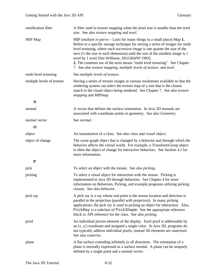| minification filter        | A filter used in texture mapping when the pixel size is smaller than the texel<br>size. See also texture mapping and texel.                                                                                                                                                                                                                                                                                                                                                                                                                   |
|----------------------------|-----------------------------------------------------------------------------------------------------------------------------------------------------------------------------------------------------------------------------------------------------------------------------------------------------------------------------------------------------------------------------------------------------------------------------------------------------------------------------------------------------------------------------------------------|
| MIP Map                    | MIP (multum in $parvo$ – Latin for many things in a small place) Map 1.<br>Refers to a specific storage technique for storing a series of images for multi<br>level texturing, where each successive image is one quarter the size of the<br>next $(\frac{1}{2})$ the size in each dimension) until the size of the smallest image is 1<br>texel by 1 texel [See Williams, SIGGRAPH 1983].<br>2. The common use of the term means "multi level texturing". See Chapter<br>7. See also texture mapping, multiple levels of texture, and texel. |
| multi level texturing      | See multiple levels of texture.                                                                                                                                                                                                                                                                                                                                                                                                                                                                                                               |
| multiple levels of texture | Having a series of texture images at various resolutions available so that the<br>rendering system can select the texture map of a size that is the closest<br>match to the visual object being rendered. See Chapter 7. See also texture<br>mapping and MIPmap.                                                                                                                                                                                                                                                                              |
| N                          |                                                                                                                                                                                                                                                                                                                                                                                                                                                                                                                                               |
| normal                     | A vector that defines the surface orientation. In Java 3D normals are<br>associated with coordinate points in geometry. See also Geometry.                                                                                                                                                                                                                                                                                                                                                                                                    |
| normal vector              | See normal.                                                                                                                                                                                                                                                                                                                                                                                                                                                                                                                                   |
| $\mathbf 0$                |                                                                                                                                                                                                                                                                                                                                                                                                                                                                                                                                               |
| object                     | An instantiation of a class. See also <i>class</i> and <i>visual object</i> .                                                                                                                                                                                                                                                                                                                                                                                                                                                                 |
| object of change           | The scene graph object that is changed by a behavior and through which the<br>behavior affects the virtual world. For example, a TransformGroup object<br>is often the object of change for interactive behaviors. See Section 4.2 for<br>more information.                                                                                                                                                                                                                                                                                   |
| P                          |                                                                                                                                                                                                                                                                                                                                                                                                                                                                                                                                               |
| pick                       | To select an object with the mouse. See also <i>picking</i> .                                                                                                                                                                                                                                                                                                                                                                                                                                                                                 |
| picking                    | To select a visual object for interaction with the mouse. Picking is<br>implemented in Java 3D through behaviors. See Chapter 4 for more<br>information on Behaviors, Picking, and example programs utilizing picking<br>classes. See also behavior.                                                                                                                                                                                                                                                                                          |
| pick ray                   | A pick ray is a ray whose end point is the mouse location and direction is<br>parallel to the projection (parallel with projectors). In many picking<br>applications, the pick ray is used in picking an object for interaction. Also,<br>PickRay is a subclass of PickShape. See the appropriate reference<br>block or API reference for the class. See also <i>picking</i> .                                                                                                                                                                |
| pixel                      | An individual picture element of the display. Each pixel is addressable by<br>an [x, y] coordinate and assigned a single color. In Java 3D, programs do<br>not typically address individual pixels, instead 3D elements are rasterized.<br>See also rasterize.                                                                                                                                                                                                                                                                                |
| plane                      | A flat surface extending infinitely in all directions. The orientation of a<br>plane is normally expressed as a surface normal. A plane can be uniquely<br>defined by a single point and a normal vector.                                                                                                                                                                                                                                                                                                                                     |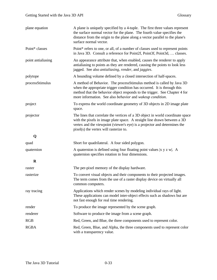| plane equation     | A plane is uniquely specified by a 4-tuple. The first three values represent<br>the surface normal vector for the plane. The fourth value specifies the<br>distance from the origin to the plane along a vector parallel to the plane's<br>surface normal vector.                           |
|--------------------|---------------------------------------------------------------------------------------------------------------------------------------------------------------------------------------------------------------------------------------------------------------------------------------------|
| Point* classes     | Point* refers to one, or all, of a number of classes used to represent points<br>in Java 3D. Consult a reference for Point2f, Point3f, Point3d,  classes.                                                                                                                                   |
| point antialiasing | An appearance attribute that, when enabled, causes the renderer to apply<br>antialiasing to points as they are rendered, causing the points to look less<br>jagged. See also antialiasing, render, and jaggies.                                                                             |
| polytope           | A bounding volume defined by a closed intersection of half-spaces.                                                                                                                                                                                                                          |
| processStimulus    | A method of Behavior. The processStimulus method is called by Java 3D<br>when the appropriate trigger condition has occurred. It is through this<br>method that the behavior object responds to the trigger. See Chapter 4 for<br>more information. See also behavior and wakeup condition. |
| project            | To express the world coordinate geometry of 3D objects in 2D image plate<br>space.                                                                                                                                                                                                          |
| projector          | The lines that correlate the vertices of a 3D object in world coordinate space<br>with the pixels in image plate space. A straight line drawn between a 3D<br>vertex and the viewpoint (viewer's eye) is a projector and determines the<br>pixel(s) the vertex will rasterize to.           |
| Q                  |                                                                                                                                                                                                                                                                                             |
| quad               | Short for quadrilateral. A four sided polygon.                                                                                                                                                                                                                                              |
| quaternion         | A quaternion is defined using four floating point values $ x y z w $ . A<br>quaternion specifies rotation in four dimensions.                                                                                                                                                               |
| $\bf R$            |                                                                                                                                                                                                                                                                                             |
| raster             | The per-pixel memory of the display hardware.                                                                                                                                                                                                                                               |
| rasterize          | To convert visual objects and their components to their projected images.<br>The term comes from the use of a raster display device on virtually all<br>common computers.                                                                                                                   |
| ray tracing        | Applications which render scenes by modeling individual rays of light.<br>These applications can model inter-object effects such as shadows but are<br>not fast enough for real time rendering.                                                                                             |
| render             | To produce the image represented by the scene graph.                                                                                                                                                                                                                                        |
| renderer           | Software to produce the image from a scene graph.                                                                                                                                                                                                                                           |
| <b>RGB</b>         | Red, Green, and Blue, the three components used to represent color.                                                                                                                                                                                                                         |
| <b>RGBA</b>        | Red, Green, Blue, and Alpha, the three components used to represent color<br>with a transparency value.                                                                                                                                                                                     |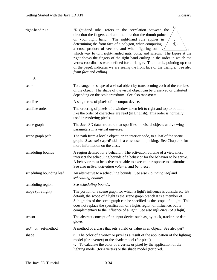| right-hand rule                 | "Right-hand rule" refers to the correlation between the<br>direction the fingers curl and the direction the thumb points<br>on your right hand. The right-hand rule applies in<br>€<br>determining the front face of a polygon, when computing<br>a cross product of vectors, and when figuring out $_2$<br>which way to turn right-handed nuts, bolts, and screws. The figure at the<br>right shows the fingers of the right hand curling in the order in which the<br>vertex coordinates were defined for a triangle. The thumb, pointing up (out<br>of the page), indicates we are seeing the front face of the triangle. See also<br>front face and culling. |
|---------------------------------|------------------------------------------------------------------------------------------------------------------------------------------------------------------------------------------------------------------------------------------------------------------------------------------------------------------------------------------------------------------------------------------------------------------------------------------------------------------------------------------------------------------------------------------------------------------------------------------------------------------------------------------------------------------|
| S                               |                                                                                                                                                                                                                                                                                                                                                                                                                                                                                                                                                                                                                                                                  |
| scale                           | To change the shape of a visual object by transforming each of the vertices<br>of the object. The shape of the visual object can be preserved or distorted<br>depending on the scale transform. See also transform.                                                                                                                                                                                                                                                                                                                                                                                                                                              |
| scanline                        | A single row of pixels of the output device.                                                                                                                                                                                                                                                                                                                                                                                                                                                                                                                                                                                                                     |
| scanline order                  | The ordering of pixels of a window taken left to right and top to bottom $-$<br>like the order of characters are read (in English). This order is normally<br>used in rendering pixels.                                                                                                                                                                                                                                                                                                                                                                                                                                                                          |
| scene graph                     | The Java 3D data structure that specifies the visual objects and viewing<br>parameters in a virtual universe.                                                                                                                                                                                                                                                                                                                                                                                                                                                                                                                                                    |
| scene graph path                | The path from a locale object, or an interior node, to a leaf of the scene<br>graph. SceneGraphPath is a class used in picking. See Chapter 4 for<br>more information on the class.                                                                                                                                                                                                                                                                                                                                                                                                                                                                              |
| scheduling bounds               | A region defined for a behavior. The activation volume of a view must<br>intersect the scheduling bounds of a behavior for the behavior to be active.<br>A behavior must be active to be able to execute in response to a stimulus.<br>See also <i>active</i> , <i>activation volume</i> , and <i>behavior</i> .                                                                                                                                                                                                                                                                                                                                                 |
| scheduling bounding leaf        | An alternative to a scheduling bounds. See also <i>BoundingLeaf</i> and<br>scheduling bounds.                                                                                                                                                                                                                                                                                                                                                                                                                                                                                                                                                                    |
| scheduling region               | See scheduling bounds.                                                                                                                                                                                                                                                                                                                                                                                                                                                                                                                                                                                                                                           |
| scope (of a light)              | The portion of a scene graph for which a light's influence is considered. By<br>default, the scope of a light is the scene graph branch it is a member of.<br>Sub-graphs of the scene graph can be specified as the scope of a light. This<br>does not replace the specification of a lights region of influence, but is<br>complementary to the influence of a light. See also <i>influence</i> (of a light).                                                                                                                                                                                                                                                   |
| sensor                          | The abstract concept of an input device such as joy-stick, tracker, or data<br>glove.                                                                                                                                                                                                                                                                                                                                                                                                                                                                                                                                                                            |
| set-method<br>set*<br><b>or</b> | A method of a class that sets a field or value in an object. See also get*                                                                                                                                                                                                                                                                                                                                                                                                                                                                                                                                                                                       |
| shade                           | <i>n</i> . The color of a vertex or pixel as a result of the application of the lighting<br>model (for a vertex) or the shade model (for pixel).<br>To calculate the color of a vertex or pixel by the application of the<br>ν.<br>lighting model (for a vertex) or the shade model (for pixel).                                                                                                                                                                                                                                                                                                                                                                 |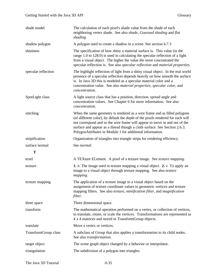| shade model          | The calculation of each pixel's shade value from the shade of each<br>neighboring vertex shade. See also shade, Gouraud shading and flat<br>shading.                                                                                                                                                                                                                                 |
|----------------------|--------------------------------------------------------------------------------------------------------------------------------------------------------------------------------------------------------------------------------------------------------------------------------------------------------------------------------------------------------------------------------------|
| shadow polygon       | A polygon used to create a shadow in a scene. See section 6.7.3                                                                                                                                                                                                                                                                                                                      |
| shininess            | The specification of how shiny a material surface is. This value (in the<br>range 1.0 to 128.0) is used in calculating the specular reflection of a light<br>from a visual object. The higher the value the more concentrated the<br>specular reflection is. See also specular reflection and material properties.                                                                   |
| specular reflection  | The highlight reflection of light from a shiny visual object. In the real world<br>presence of a specular reflection depends heavily on how smooth the surface<br>is. In Java 3D this is modeled as a specular material color and a<br>concentration value. See also material properties, specular color, and<br>concentration.                                                      |
| SpotLight class      | A light source class that has a position, direction, spread angle and<br>concentration values. See Chapter 6 for more information. See also<br>concentration.                                                                                                                                                                                                                        |
| stitching            | When the same geometry is rendered as a wire frame and as filled polygons<br>(of different color), by default the depth of the pixels rendered for each will<br>not correspond and so the wire frame will appear to move in and out of the<br>surface and appear as a thread though a cloth surface. See Section 2.6.3.<br>PolygonAttributes in Module 1 for additional information. |
| stripification       | Organization of triangles into triangle strips for rendering efficiency.                                                                                                                                                                                                                                                                                                             |
| surface normal       | See normal.                                                                                                                                                                                                                                                                                                                                                                          |
| T                    |                                                                                                                                                                                                                                                                                                                                                                                      |
| texel                | A TEXture ELement. A pixel of a texture image. See <i>texture mapping</i> .                                                                                                                                                                                                                                                                                                          |
| texture              | <b>1.</b> <i>n</i> . The image used in texture mapping a visual object. <b>2.</b> <i>v</i> . To apply an<br>image to a visual object through texture mapping. See also texture<br>mapping.                                                                                                                                                                                           |
| texture mapping      | The application of a texture image to a visual object based on the<br>assignment of texture coordinate values to geometric vertices and texture<br>mapping filters. See also texture, minification filter, and magnification<br>filter.                                                                                                                                              |
| three space          | Three dimensional space.                                                                                                                                                                                                                                                                                                                                                             |
| transform            | The mathematical operation performed on a vertex, or collection of vertices,<br>to translate, rotate, or scale the vertices. Transformations are represented as<br>4 x 4 matrices and stored in TransformGroup objects.                                                                                                                                                              |
|                      |                                                                                                                                                                                                                                                                                                                                                                                      |
| translate            | Move a vertex or vertices.                                                                                                                                                                                                                                                                                                                                                           |
| TransformGroup class | A subclass of Group that also applies a transformation to its child nodes.<br>See also transformation.                                                                                                                                                                                                                                                                               |
| target object        | The scene graph object changed by a behavior or interpolator.                                                                                                                                                                                                                                                                                                                        |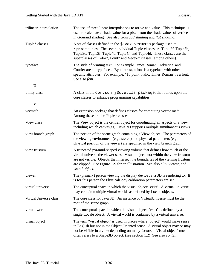| trilinear interpolation | The use of three linear interpolations to arrive at a value. This technique is<br>used to calculate a shade value for a pixel from the shade values of vertices<br>in Gouraud shading. See also Gouraud shading and flat shading.                                                                                                                        |  |
|-------------------------|----------------------------------------------------------------------------------------------------------------------------------------------------------------------------------------------------------------------------------------------------------------------------------------------------------------------------------------------------------|--|
| Tuple* classes          | A set of classes defined in the javax. vecmath package used to<br>represent tuples. The seven individual Tuple classes are Tuple2f, Tuple3b,<br>Tuple3d, Tuple3f, Tuple4b, Tuple4f, and Tuple4d. These classes are the<br>superclasses of Color*, Point* and Vector* classes (among others).                                                             |  |
| typeface                | The style of printing text. For example Times Roman, Helvetica, and<br>Courier are all typefaces. By contrast, a font is a typeface with other<br>specific attributes. For example, "10 point, italic, Times Roman" is a font.<br>See also font.                                                                                                         |  |
| U                       |                                                                                                                                                                                                                                                                                                                                                          |  |
| utility class           | A class in the com. sun. j3d. utils package, that builds upon the<br>core classes to enhance programming capabilities.                                                                                                                                                                                                                                   |  |
| $\mathbf{V}$            |                                                                                                                                                                                                                                                                                                                                                          |  |
| vecmath                 | An extension package that defines classes for computing vector math.<br>Among these are the Tuple* classes.                                                                                                                                                                                                                                              |  |
| View class              | The View object is the central object for coordinating all aspects of a view<br>including which canvas(es). Java 3D supports multiple simultaneous views.                                                                                                                                                                                                |  |
| view branch graph       | The portion of the scene graph containing a View object. The parameters of<br>the viewing environment (e.g., stereo) and physical parameters (e.g.,<br>physical position of the viewer) are specified in the view branch graph.                                                                                                                          |  |
| view frustum            | A truncated pyramid-shaped viewing volume that defines how much of the<br>virtual universe the viewer sees. Visual objects not within the view frustum<br>are not visible. Objects that intersect the boundaries of the viewing frustum<br>are clipped. See Figure 1-9 for an illustration. See also <i>clip</i> , <i>viewer</i> , and<br>visual object. |  |
| viewer                  | The (primary) person viewing the display device Java 3D is rendering to. It<br>is for this person the PhysicalBody calibration parameters are set.                                                                                                                                                                                                       |  |
| virtual universe        | The conceptual space in which the visual objects 'exist'. A virtual universe<br>may contain multiple virtual worlds as defined by Locale objects.                                                                                                                                                                                                        |  |
| VirtualUniverse class   | The core class for Java 3D. An instance of VirtualUniverse must be the<br>root of the scene graph.                                                                                                                                                                                                                                                       |  |
| virtual world           | The conceptual space in which the visual objects 'exist' as defined by a<br>single Locale object. A virtual world is contained by a virtual universe.                                                                                                                                                                                                    |  |
| visual object           | The term "visual object" is used in places where 'object' would make sense<br>in English but not in the Object Oriented sense. A visual object may or may<br>not be visible in a view depending on many factors. "Visual object" most<br>often refers to a Shape3D object. (see section 1.2) See also content.                                           |  |